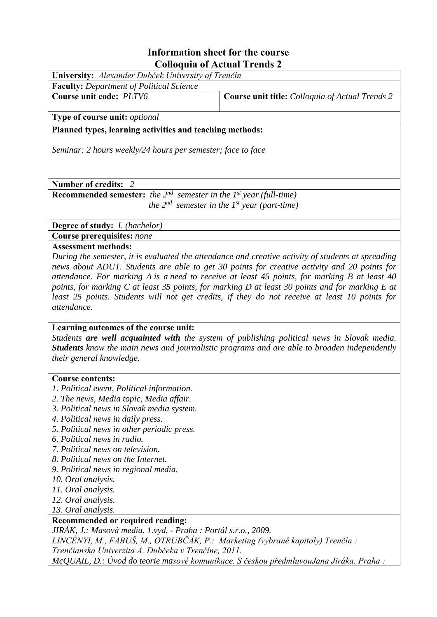#### **Information sheet for the course**  $\overline{1}$  $\sim$  11  $\mathbf{e}$  $\bullet$  $\overline{1}$

| Colloquia of Actual Trends 2                                                                                     |                                                                                                                                                                                                                                                                                                                                                                                                 |
|------------------------------------------------------------------------------------------------------------------|-------------------------------------------------------------------------------------------------------------------------------------------------------------------------------------------------------------------------------------------------------------------------------------------------------------------------------------------------------------------------------------------------|
| University: Alexander Dubček University of Trenčín                                                               |                                                                                                                                                                                                                                                                                                                                                                                                 |
| <b>Faculty:</b> Department of Political Science                                                                  |                                                                                                                                                                                                                                                                                                                                                                                                 |
| Course unit code: PLTV6                                                                                          | Course unit title: Colloquia of Actual Trends 2                                                                                                                                                                                                                                                                                                                                                 |
| Type of course unit: optional                                                                                    |                                                                                                                                                                                                                                                                                                                                                                                                 |
| Planned types, learning activities and teaching methods:                                                         |                                                                                                                                                                                                                                                                                                                                                                                                 |
| Seminar: 2 hours weekly/24 hours per semester; face to face                                                      |                                                                                                                                                                                                                                                                                                                                                                                                 |
| Number of credits: 2                                                                                             |                                                                                                                                                                                                                                                                                                                                                                                                 |
| <b>Recommended semester:</b> the $2^{nd}$ semester in the $1^{st}$ year (full-time)                              |                                                                                                                                                                                                                                                                                                                                                                                                 |
|                                                                                                                  | the $2^{nd}$ semester in the 1st year (part-time)                                                                                                                                                                                                                                                                                                                                               |
|                                                                                                                  |                                                                                                                                                                                                                                                                                                                                                                                                 |
| <b>Degree of study:</b> <i>I. (bachelor)</i>                                                                     |                                                                                                                                                                                                                                                                                                                                                                                                 |
| <b>Course prerequisites: none</b>                                                                                |                                                                                                                                                                                                                                                                                                                                                                                                 |
| attendance.                                                                                                      | news about ADUT. Students are able to get 30 points for creative activity and 20 points for<br>attendance. For marking A is a need to receive at least 45 points, for marking B at least 40<br>points, for marking C at least 35 points, for marking D at least 30 points and for marking E at<br>least 25 points. Students will not get credits, if they do not receive at least 10 points for |
| Learning outcomes of the course unit:<br>their general knowledge.                                                | Students are well acquainted with the system of publishing political news in Slovak media.<br><b>Students</b> know the main news and journalistic programs and are able to broaden independently                                                                                                                                                                                                |
| <b>Course contents:</b><br>1. Political event, Political information.<br>2. The news, Media topic, Media affair. |                                                                                                                                                                                                                                                                                                                                                                                                 |
| 3. Political news in Slovak media system.<br>4. Political news in daily press.                                   |                                                                                                                                                                                                                                                                                                                                                                                                 |
| 5. Political news in other periodic press.                                                                       |                                                                                                                                                                                                                                                                                                                                                                                                 |
| 6. Political news in radio.                                                                                      |                                                                                                                                                                                                                                                                                                                                                                                                 |
| 7. Political news on television.                                                                                 |                                                                                                                                                                                                                                                                                                                                                                                                 |
| 8. Political news on the Internet.                                                                               |                                                                                                                                                                                                                                                                                                                                                                                                 |
| 9. Political news in regional media.                                                                             |                                                                                                                                                                                                                                                                                                                                                                                                 |
| 10. Oral analysis.                                                                                               |                                                                                                                                                                                                                                                                                                                                                                                                 |
| 11. Oral analysis.                                                                                               |                                                                                                                                                                                                                                                                                                                                                                                                 |

- 12. Oral analysis.
- 13. Oral analysis.

## Recommended or required reading:

JIRÁK, J.: Masová media. 1.vyd. - Praha : Portál s.r.o., 2009.

LINCÉNYI, M., FABUŠ, M., OTRUBČÁK, P.: Marketing (vybrané kapitoly) Trenčín :

Trenčianska Univerzita A. Dubčeka v Trenčíne, 2011.

McQUAIL, D.: Úvod do teorie masové komunikace. S českou předmluvouJana Jiráka. Praha :